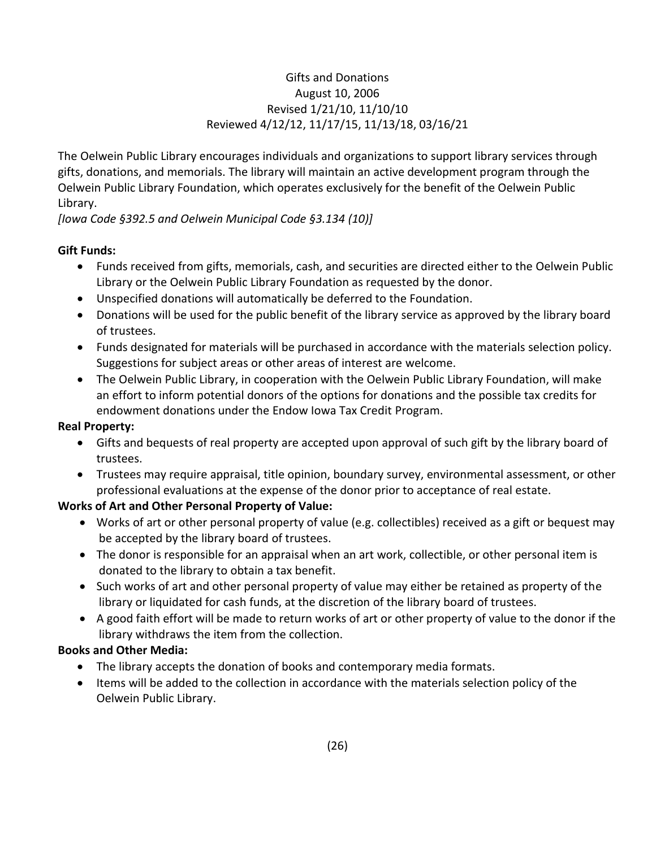# Gifts and Donations August 10, 2006 Revised 1/21/10, 11/10/10 Reviewed 4/12/12, 11/17/15, 11/13/18, 03/16/21

The Oelwein Public Library encourages individuals and organizations to support library services through gifts, donations, and memorials. The library will maintain an active development program through the Oelwein Public Library Foundation, which operates exclusively for the benefit of the Oelwein Public Library.

*[Iowa Code §392.5 and Oelwein Municipal Code §3.134 (10)]*

## **Gift Funds:**

- Funds received from gifts, memorials, cash, and securities are directed either to the Oelwein Public Library or the Oelwein Public Library Foundation as requested by the donor.
- Unspecified donations will automatically be deferred to the Foundation.
- Donations will be used for the public benefit of the library service as approved by the library board of trustees.
- Funds designated for materials will be purchased in accordance with the materials selection policy. Suggestions for subject areas or other areas of interest are welcome.
- The Oelwein Public Library, in cooperation with the Oelwein Public Library Foundation, will make an effort to inform potential donors of the options for donations and the possible tax credits for endowment donations under the Endow Iowa Tax Credit Program.

### **Real Property:**

- Gifts and bequests of real property are accepted upon approval of such gift by the library board of trustees.
- Trustees may require appraisal, title opinion, boundary survey, environmental assessment, or other professional evaluations at the expense of the donor prior to acceptance of real estate.

# **Works of Art and Other Personal Property of Value:**

- Works of art or other personal property of value (e.g. collectibles) received as a gift or bequest may be accepted by the library board of trustees.
- The donor is responsible for an appraisal when an art work, collectible, or other personal item is donated to the library to obtain a tax benefit.
- Such works of art and other personal property of value may either be retained as property of the library or liquidated for cash funds, at the discretion of the library board of trustees.
- A good faith effort will be made to return works of art or other property of value to the donor if the library withdraws the item from the collection.

#### **Books and Other Media:**

- The library accepts the donation of books and contemporary media formats.
- Items will be added to the collection in accordance with the materials selection policy of the Oelwein Public Library.